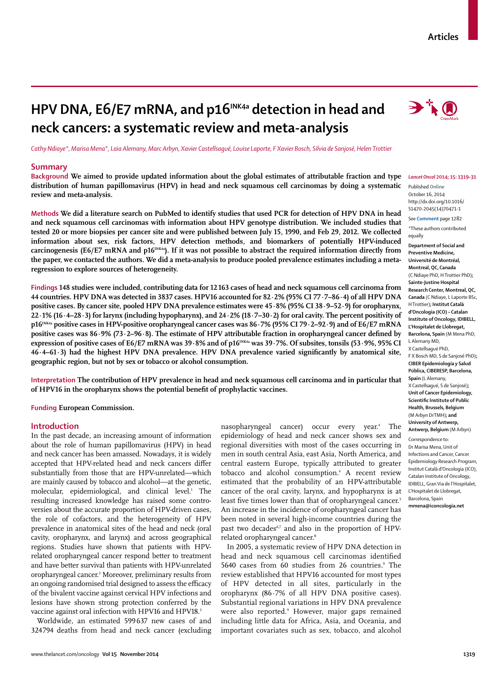# **Articles**



# HPV DNA, E6/E7 mRNA, and p16<sup>INK4a</sup> detection in head and **neck cancers: a systematic review and meta-analysis**

*Cathy Ndiaye\*, Marisa Mena\*, Laia Alemany, Marc Arbyn, Xavier Castellsagué, Louise Laporte, F Xavier Bosch, Silvia de Sanjosé, Helen Trottier*

#### **Summary**

**Background We aimed to provide updated information about the global estimates of attributable fraction and type distribution of human papillomavirus (HPV) in head and neck squamous cell carcinomas by doing a systematic review and meta-analysis.**

**Methods We did a literature search on PubMed to identify studies that used PCR for detection of HPV DNA in head and neck squamous cell carcinomas with information about HPV genotype distribution. We included studies that tested 20 or more biopsies per cancer site and were published between July 15, 1990, and Feb 29, 2012. We collected information about sex, risk factors, HPV detection methods, and biomarkers of potentially HPV-induced**  carcinogenesis (E6/E7 mRNA and p16<sup>INK4a</sup>). If it was not possible to abstract the required information directly from **the paper, we contacted the authors. We did a meta-analysis to produce pooled prevalence estimates including a metaregression to explore sources of heterogeneity.**

**Findings 148 studies were included, contributing data for 12 163 cases of head and neck squamous cell carcinoma from 44 countries. HPV DNA was detected in 3837 cases. HPV16 accounted for 82·2% (95% CI 77·7–86·4) of all HPV DNA positive cases. By cancer site, pooled HPV DNA prevalence estimates were 45·8% (95% CI 38·9–52·9) for oropharynx, 22·1% (16·4–28·3) for larynx (including hypopharynx), and 24·2% (18·7–30·2) for oral cavity. The percent positivity of p16INK4a positive cases in HPV-positive oropharyngeal cancer cases was 86·7% (95% CI 79·2–92·9) and of E6/E7 mRNA**  positive cases was 86·9% (73·2–96·8). The estimate of HPV attributable fraction in oropharyngeal cancer defined by **expression of positive cases of E6/E7 mRNA was 39·8% and of p16<sup>INK4a</sup> was 39·7%. Of subsites, tonsils (53·9%, 95% CI** 46·4-61·3) had the highest HPV DNA prevalence. HPV DNA prevalence varied significantly by anatomical site, **geographic region, but not by sex or tobacco or alcohol consumption.**

**Interpretation The contribution of HPV prevalence in head and neck squamous cell carcinoma and in particular that of HPV16 in the oropharynx shows the potential benefi t of prophylactic vaccines.**

**Funding European Commission.**

# **Introduction**

In the past decade, an increasing amount of information about the role of human papillomavirus (HPV) in head and neck cancer has been amassed. Nowadays, it is widely accepted that HPV-related head and neck cancers differ substantially from those that are HPV-unrelated—which are mainly caused by tobacco and alcohol—at the genetic, molecular, epidemiological, and clinical level.1 The resulting increased knowledge has raised some controversies about the accurate proportion of HPV-driven cases, the role of cofactors, and the heterogeneity of HPV prevalence in anatomical sites of the head and neck (oral cavity, oropharynx, and larynx) and across geographical regions. Studies have shown that patients with HPVrelated oropharyngeal cancer respond better to treatment and have better survival than patients with HPV-unrelated oropharyngeal cancer.2 Moreover, preliminary results from an ongoing randomised trial designed to assess the efficacy of the bivalent vaccine against cervical HPV infections and lesions have shown strong protection conferred by the vaccine against oral infection with HPV16 and HPV18.<sup>3</sup>

Worldwide, an estimated 599 637 new cases of and 324 794 deaths from head and neck cancer (excluding

nasopharyngeal cancer) occur every year.4 The epidemiology of head and neck cancer shows sex and regional diversities with most of the cases occurring in men in south central Asia, east Asia, North America, and central eastern Europe, typically attributed to greater tobacco and alcohol consumption.<sup>4</sup> A recent review estimated that the probability of an HPV-attributable cancer of the oral cavity, larynx, and hypopharynx is at least five times lower than that of oropharyngeal cancer.<sup>5</sup> An increase in the incidence of oropharyngeal cancer has been noted in several high-income countries during the past two decades<sup>6,7</sup> and also in the proportion of HPVrelated oropharyngeal cancer.8

In 2005, a systematic review of HPV DNA detection in head and neck squamous cell carcinomas identified 5640 cases from 60 studies from 26 countries.<sup>9</sup> The review established that HPV16 accounted for most types of HPV detected in all sites, particularly in the oropharynx (86·7% of all HPV DNA positive cases). Substantial regional variations in HPV DNA prevalence were also reported.<sup>9</sup> However, major gaps remained including little data for Africa, Asia, and Oceania, and important covariates such as sex, tobacco, and alcohol

#### *Lancet Oncol* **2014; 15: 1319–31**

Published **Online** October 16, 2014 http://dx.doi.org/10.1016/ S1470-2045(14)70471-1 See **Comment** page 1282

\*These authors contributed equally

**Department of Social and Preventive Medicine, Université de Montréal, Montreal, QC, Canada**  (C Ndiaye PhD, H Trottier PhD)**; Sainte-Justine Hospital Research Center, Montreal, QC, Canada** (C Ndiaye, L Laporte BSc, H Trottier)**; Institut Català d'Oncologia (ICO) – Catalan Institute of Oncology, IDIBELL, L'Hospitalet de Llobregat, Barcelona, Spain** (M Mena PhD, L Alemany MD, X Castellsagué PhD, F X Bosch MD, S de Sanjosé PhD)**; CIBER Epidemiología y Salud Pública, CIBERESP, Barcelona, Spain** (L Alemany, X Castellsagué, S de Sanjosé)**; Unit of Cancer Epidemiology, Scientific Institute of Public** 

**Health, Brussels, Belgium**  (M Arbyn DrTMH)**; and University of Antwerp, Antwerp, Belgium** (M Arbyn) Correspondence to:

Dr Marisa Mena, Unit of Infections and Cancer, Cancer Epidemiology Research Program, Institut Català d'Oncologia (ICO), Catalan Institute of Oncology, IDIBELL, Gran Via de l'Hospitalet, L'Hospitalet de Llobregat, Barcelona, Spain **mmena@iconcologia.net**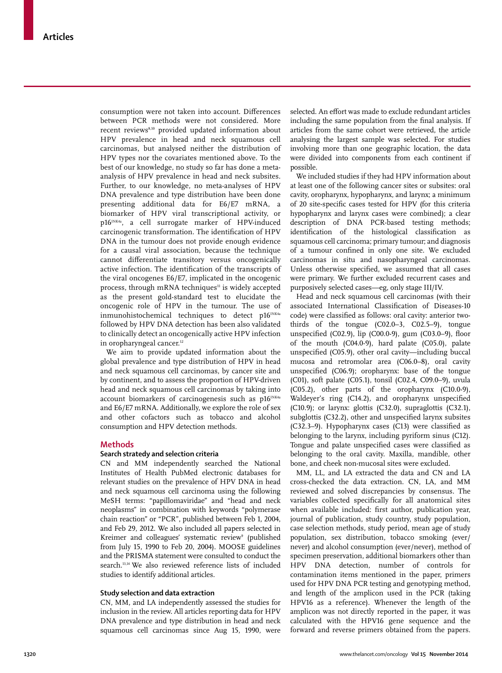consumption were not taken into account. Differences between PCR methods were not considered. More recent reviews<sup>8,10</sup> provided updated information about HPV prevalence in head and neck squamous cell carcinomas, but analysed neither the distribution of HPV types nor the covariates mentioned above. To the best of our knowledge, no study so far has done a metaanalysis of HPV prevalence in head and neck subsites. Further, to our knowledge, no meta-analyses of HPV DNA prevalence and type distribution have been done presenting additional data for E6/E7 mRNA, a biomarker of HPV viral transcriptional activity, or p16<sup>INK4a</sup>, a cell surrogate marker of HPV-induced carcinogenic transformation. The identification of HPV DNA in the tumour does not provide enough evidence for a causal viral association, because the technique cannot differentiate transitory versus oncogenically active infection. The identification of the transcripts of the viral oncogenes E6/E7, implicated in the oncogenic process, through mRNA techniques<sup>11</sup> is widely accepted as the present gold-standard test to elucidate the oncogenic role of HPV in the tumour. The use of inmunohistochemical techniques to detect  $p16^{INK4a}$ followed by HPV DNA detection has been also validated to clinically detect an oncogenically active HPV infection in oropharyngeal cancer.<sup>12</sup>

We aim to provide updated information about the global prevalence and type distribution of HPV in head and neck squamous cell carcinomas, by cancer site and by continent, and to assess the proportion of HPV-driven head and neck squamous cell carcinomas by taking into account biomarkers of carcinogenesis such as  $p16^{INKA}$ and E6/E7 mRNA. Additionally, we explore the role of sex and other cofactors such as tobacco and alcohol consumption and HPV detection methods.

# **Methods**

# **Search stratedy and selection criteria**

CN and MM independently searched the National Institutes of Health PubMed electronic databases for relevant studies on the prevalence of HPV DNA in head and neck squamous cell carcinoma using the following MeSH terms: "papillomaviridae" and "head and neck neoplasms" in combination with keywords "polymerase chain reaction" or "PCR", published between Feb 1, 2004, and Feb 29, 2012. We also included all papers selected in Kreimer and colleagues' systematic review<sup>9</sup> (published from July 15, 1990 to Feb 20, 2004). MOOSE guidelines and the PRISMA statement were consulted to conduct the search.<sup>13,14</sup> We also reviewed reference lists of included studies to identify additional articles.

#### **Study selection and data extraction**

CN, MM, and LA independently assessed the studies for inclusion in the review. All articles reporting data for HPV DNA prevalence and type distribution in head and neck squamous cell carcinomas since Aug 15, 1990, were selected. An effort was made to exclude redundant articles including the same population from the final analysis. If articles from the same cohort were retrieved, the article analysing the largest sample was selected. For studies involving more than one geographic location, the data were divided into components from each continent if possible.

We included studies if they had HPV information about at least one of the following cancer sites or subsites: oral cavity, oropharynx, hypopharynx, and larynx; a minimum of 20 site-specific cases tested for HPV (for this criteria hypopharynx and larynx cases were combined); a clear description of DNA PCR-based testing methods; identification of the histological classification as squamous cell carcinoma; primary tumour; and diagnosis of a tumour confined in only one site. We excluded carcinomas in situ and nasopharyngeal carcinomas. Unless otherwise specified, we assumed that all cases were primary. We further excluded recurrent cases and purposively selected cases—eg, only stage III/IV.

Head and neck squamous cell carcinomas (with their associated International Classification of Diseases-10 code) were classified as follows: oral cavity: anterior twothirds of the tongue (C02.0–3, C02.5–9), tongue unspecified (C02.9), lip (C00.0-9), gum (C03.0-9), floor of the mouth (C04.0-9), hard palate (C05.0), palate unspecified (C05.9), other oral cavity—including buccal mucosa and retromolar area (C06.0–8), oral cavity unspecified  $(C06.9)$ ; oropharynx: base of the tongue (C01), soft palate (C05.1), tonsil (C02.4, C09.0–9), uvula (C05.2), other parts of the oropharynx (C10.0-9), Waldeyer's ring (C14.2), and oropharynx unspecified (C10.9); or larynx: glottis (C32.0), supraglottis (C32.1), subglottis (C32.2), other and unspecified larynx subsites  $(C32.3-9)$ . Hypopharynx cases  $(C13)$  were classified as belonging to the larynx, including pyriform sinus (C12). Tongue and palate unspecified cases were classified as belonging to the oral cavity. Maxilla, mandible, other bone, and cheek non-mucosal sites were excluded.

MM, LL, and LA extracted the data and CN and LA cross-checked the data extraction. CN, LA, and MM reviewed and solved discrepancies by consensus. The variables collected specifically for all anatomical sites when available included: first author, publication year, journal of publication, study country, study population, case selection methods, study period, mean age of study population, sex distribution, tobacco smoking (ever/ never) and alcohol consumption (ever/never), method of specimen preservation, additional biomarkers other than HPV DNA detection, number of controls for contamination items mentioned in the paper, primers used for HPV DNA PCR testing and genotyping method, and length of the amplicon used in the PCR (taking HPV16 as a reference). Whenever the length of the amplicon was not directly reported in the paper, it was calculated with the HPV16 gene sequence and the forward and reverse primers obtained from the papers.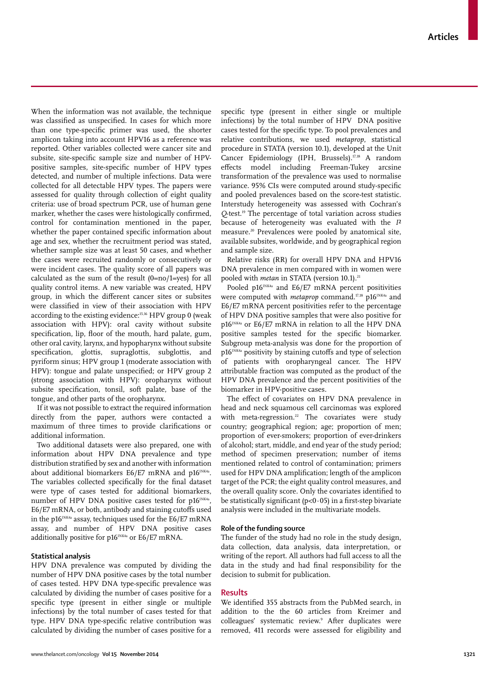When the information was not available, the technique was classified as unspecified. In cases for which more than one type-specific primer was used, the shorter amplicon taking into account HPV16 as a reference was reported. Other variables collected were cancer site and subsite, site-specific sample size and number of HPVpositive samples, site-specific number of HPV types detected, and number of multiple infections. Data were collected for all detectable HPV types. The papers were assessed for quality through collection of eight quality criteria: use of broad spectrum PCR, use of human gene marker, whether the cases were histologically confirmed, control for contamination mentioned in the paper, whether the paper contained specific information about age and sex, whether the recruitment period was stated, whether sample size was at least 50 cases, and whether the cases were recruited randomly or consecutively or were incident cases. The quality score of all papers was calculated as the sum of the result (0=no/1=yes) for all quality control items. A new variable was created, HPV group, in which the different cancer sites or subsites were classified in view of their association with HPV according to the existing evidence:<sup>15,16</sup> HPV group 0 (weak association with HPV): oral cavity without subsite specification, lip, floor of the mouth, hard palate, gum, other oral cavity, larynx, and hypopharynx without subsite specification, glottis, supraglottis, subglottis, and pyriform sinus; HPV group 1 (moderate association with HPV): tongue and palate unspecified; or HPV group 2 (strong association with HPV): oropharynx without subsite specification, tonsil, soft palate, base of the tongue, and other parts of the oropharynx.

If it was not possible to extract the required information directly from the paper, authors were contacted a maximum of three times to provide clarifications or additional information.

Two additional datasets were also prepared, one with information about HPV DNA prevalence and type distribution stratified by sex and another with information about additional biomarkers E6/E7 mRNA and  $p16^{INK4a}$ . The variables collected specifically for the final dataset were type of cases tested for additional biomarkers, number of HPV DNA positive cases tested for  $p16^{INKA}$ . E6/E7 mRNA, or both, antibody and staining cutoffs used in the  $p16^{INK4a}$  assay, techniques used for the E6/E7 mRNA assay, and number of HPV DNA positive cases additionally positive for  $p16^{INK4a}$  or E6/E7 mRNA.

# **Statistical analysis**

HPV DNA prevalence was computed by dividing the number of HPV DNA positive cases by the total number of cases tested. HPV DNA type-specific prevalence was calculated by dividing the number of cases positive for a specific type (present in either single or multiple infections) by the total number of cases tested for that type. HPV DNA type-specific relative contribution was calculated by dividing the number of cases positive for a specific type (present in either single or multiple infections) by the total number of HPV DNA positive cases tested for the specific type. To pool prevalences and relative contributions, we used *metaprop*, statistical procedure in STATA (version 10.1), developed at the Unit Cancer Epidemiology (IPH, Brussels).17,18 A random effects model including Freeman-Tukey arcsine transformation of the prevalence was used to normalise variance. 95% CIs were computed around study-specific and pooled prevalences based on the score-test statistic. Interstudy heterogeneity was assessed with Cochran's *Q*-test.19 The percentage of total variation across studies because of heterogeneity was evaluated with the *I*² measure.20 Prevalences were pooled by anatomical site, available subsites, worldwide, and by geographical region and sample size.

Relative risks (RR) for overall HPV DNA and HPV16 DNA prevalence in men compared with in women were pooled with *metan* in STATA (version 10.1).<sup>21</sup>

Pooled  $p16^{INKA}$  and  $E6/E7$  mRNA percent positivities were computed with *metaprop* command.<sup>17,18</sup> p16<sup>INK4a</sup> and E6/E7 mRNA percent positivities refer to the percentage of HPV DNA positive samples that were also positive for p16<sup>INK4a</sup> or E6/E7 mRNA in relation to all the HPV DNA positive samples tested for the specific biomarker. Subgroup meta-analysis was done for the proportion of  $p16^{INK4a}$  positivity by staining cutoffs and type of selection of patients with oropharyngeal cancer. The HPV attributable fraction was computed as the product of the HPV DNA prevalence and the percent positivities of the biomarker in HPV-positive cases.

The effect of covariates on HPV DNA prevalence in head and neck squamous cell carcinomas was explored with meta-regression.<sup>22</sup> The covariates were study country; geographical region; age; proportion of men; proportion of ever-smokers; proportion of ever-drinkers of alcohol; start, middle, and end year of the study period; method of specimen preservation; number of items mentioned related to control of contamination; primers used for HPV DNA amplification; length of the amplicon target of the PCR; the eight quality control measures, and the overall quality score. Only the covariates identified to be statistically significant ( $p < 0.05$ ) in a first-step bivariate analysis were included in the multivariate models.

#### **Role of the funding source**

The funder of the study had no role in the study design, data collection, data analysis, data interpretation, or writing of the report. All authors had full access to all the data in the study and had final responsibility for the decision to submit for publication.

#### **Results**

We identified 355 abstracts from the PubMed search, in addition to the the 60 articles from Kreimer and colleagues' systematic review.9 After duplicates were removed, 411 records were assessed for eligibility and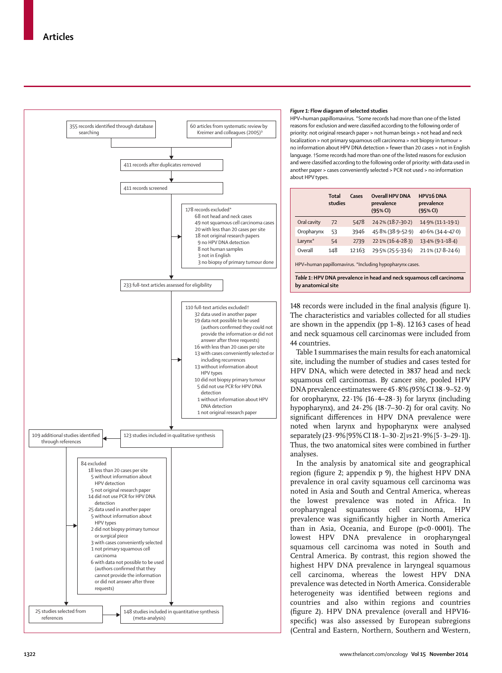

#### *Figure 1:* **Flow diagram of selected studies**

HPV=human papillomavirus. \*Some records had more than one of the listed reasons for exclusion and were classified according to the following order of priority: not original research paper > not human beings > not head and neck localization > not primary squamous cell carcinoma > not biopsy in tumour > no information about HPV DNA detection > fewer than 20 cases > not in English language. †Some records had more than one of the listed reasons for exclusion and were classified according to the following order of priority: with data used in another paper > cases conveniently selected > PCR not used > no information about HPV types.

|                                                         | <b>Total</b><br>studies | Cases | <b>Overall HPV DNA</b><br>prevalence<br>(95% CI) | <b>HPV16 DNA</b><br>prevalence<br>(95% CI) |  |  |  |  |
|---------------------------------------------------------|-------------------------|-------|--------------------------------------------------|--------------------------------------------|--|--|--|--|
| Oral cavity                                             | 72                      | 5478  | 24.2% (18.7-30.2)                                | 14.9% (11.1-19.1)                          |  |  |  |  |
| Oropharynx                                              | 53                      | 3946  | 45.8% (38.9-52.9)                                | 40.6% (34.4-47.0)                          |  |  |  |  |
| Larynx <sup>*</sup>                                     | 54                      | 2739  | $22.1\% (16.4 - 28.3)$                           | $13.4\%$ (9.1-18.4)                        |  |  |  |  |
| Overall                                                 | 148                     | 12163 | 29.5% (25.5-33.6)                                | $21.1\% (17.8 - 24.6)$                     |  |  |  |  |
| HPV=human papillomavirus. *Including hypopharynx cases. |                         |       |                                                  |                                            |  |  |  |  |

*Table 1***: HPV DNA prevalence in head and neck squamous cell carcinoma by anatomical site**

148 records were included in the final analysis (figure 1). The characteristics and variables collected for all studies are shown in the appendix (pp 1–8). 12 163 cases of head and neck squamous cell carcinomas were included from 44 countries.

Table 1 summarises the main results for each anatomical site, including the number of studies and cases tested for HPV DNA, which were detected in 3837 head and neck squamous cell carcinomas. By cancer site, pooled HPV DNA prevalence estimates were  $45.8\%$  (95% CI 38 $.9-52.9$ ) for oropharynx,  $22.1\%$  (16.4–28.3) for larynx (including hypopharynx), and 24·2% (18·7–30·2) for oral cavity. No significant differences in HPV DNA prevalence were noted when larynx and hypopharynx were analysed separately (23·9% [95% CI 18·1–30·2] *vs* 21·9% [5·3–29·1]). Thus, the two anatomical sites were combined in further analyses.

In the analysis by anatomical site and geographical region (figure 2; appendix p 9), the highest HPV DNA prevalence in oral cavity squamous cell carcinoma was noted in Asia and South and Central America, whereas the lowest prevalence was noted in Africa. In oropharyngeal squamous cell carcinoma, HPV prevalence was significantly higher in North America than in Asia, Oceania, and Europe (p<0·0001). The lowest HPV DNA prevalence in oropharyngeal squamous cell carcinoma was noted in South and Central America. By contrast, this region showed the highest HPV DNA prevalence in laryngeal squamous cell carcinoma, whereas the lowest HPV DNA prevalence was detected in North America. Considerable heterogeneity was identified between regions and countries and also within regions and countries (figure 2). HPV DNA prevalence (overall and HPV16specific) was also assessed by European subregions (Central and Eastern, Northern, Southern and Western,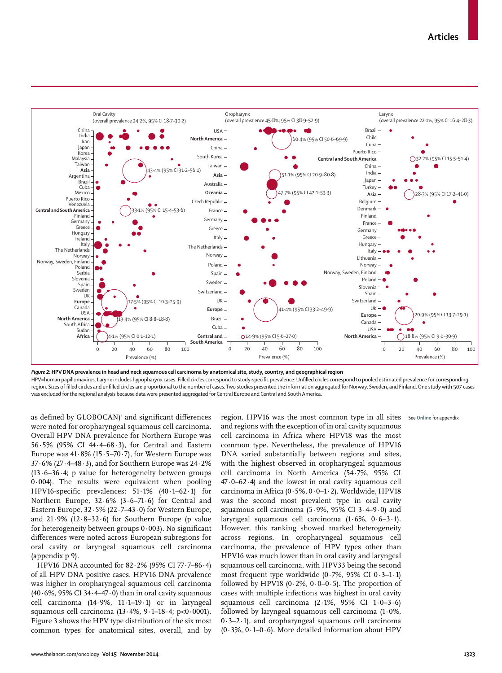

*Figure 2:* **HPV DNA prevalence in head and neck squamous cell carcinoma by anatomical site, study, country, and geographical region** HPV=human papillomavirus. Larynx includes hypopharynx cases. Filled circles correspond to study-specific prevalence. Unfilled circles correspond to pooled estimated prevalence for corresponding region. Sizes of filled circles and unfilled circles are proportional to the number of cases. Two studies presented the information aggregated for Norway, Sweden, and Finland. One study with 507 cases was excluded for the regional analysis because data were presented aggregated for Central Europe and Central and South America.

as defined by GLOBOCAN)<sup>4</sup> and significant differences were noted for oropharyngeal squamous cell carcinoma. Overall HPV DNA prevalence for Northern Europe was 56·5% (95% CI 44·4–68·3), for Central and Eastern Europe was  $41.8\%$  (15 $.5-70.7$ ), for Western Europe was 37·6% (27·4–48·3), and for Southern Europe was 24·2%  $(13.6-36.4;$  p value for heterogeneity between groups 0·004). The results were equivalent when pooling HPV16-specific prevalences:  $51.1\%$  (40.1–62.1) for Northern Europe, 32·6% (3·6–71·6) for Central and Eastern Europe,  $32.5\%$  (22 $.7-43.0$ ) for Western Europe, and  $21.9\%$  (12 $.8-32.6$ ) for Southern Europe (p value for heterogeneity between groups  $0.003$ ). No significant differences were noted across European subregions for oral cavity or laryngeal squamous cell carcinoma (appendix p 9).

HPV16 DNA accounted for 82·2% (95% CI 77·7–86·4) of all HPV DNA positive cases. HPV16 DNA prevalence was higher in oropharyngeal squamous cell carcinoma (40 $\cdot$  6%, 95% CI 34 $\cdot$  4-47 $\cdot$ 0) than in oral cavity squamous cell carcinoma (14·9%, 11·1–19·1) or in laryngeal squamous cell carcinoma (13·4%, 9·1–18·4; p<0·0001). Figure 3 shows the HPV type distribution of the six most common types for anatomical sites, overall, and by region. HPV16 was the most common type in all sites and regions with the exception of in oral cavity squamous cell carcinoma in Africa where HPV18 was the most common type. Nevertheless, the prevalence of HPV16 DNA varied substantially between regions and sites, with the highest observed in oropharyngeal squamous cell carcinoma in North America (54·7%, 95% CI  $47.0 - 62.4$ ) and the lowest in oral cavity squamous cell carcinoma in Africa (0·5%, 0·0–1·2). Worldwide, HPV18 was the second most prevalent type in oral cavity squamous cell carcinoma (5·9%, 95% CI 3·4–9·0) and laryngeal squamous cell carcinoma (1·6%, 0·6–3·1). However, this ranking showed marked heterogeneity across regions. In oropharyngeal squamous cell carcinoma, the prevalence of HPV types other than HPV16 was much lower than in oral cavity and laryngeal squamous cell carcinoma, with HPV33 being the second most frequent type worldwide  $(0.7\%, 95\% \text{ CI } 0.3-1.1)$ followed by HPV18  $(0.2\%, 0.0-0.5)$ . The proportion of cases with multiple infections was highest in oral cavity squamous cell carcinoma (2·1%, 95% CI 1·0–3·6) followed by laryngeal squamous cell carcinoma (1·0%, 0·3–2·1), and oropharyngeal squamous cell carcinoma  $(0.3\%, 0.1-0.6)$ . More detailed information about HPV See **Online** for appendix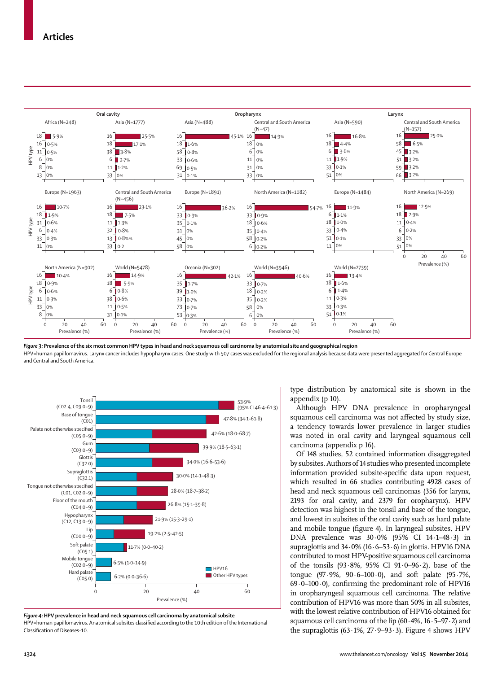

*Figure 3:* **Prevalence of the six most common HPV types in head and neck squamous cell carcinoma by anatomical site and geographical region**

HPV=human papillomavirus. Larynx cancer includes hypopharynx cases. One study with 507 cases was excluded for the regional analysis because data were presented aggregated for Central Europe and Central and South America.



*Figure 4:* **HPV prevalence in head and neck squamous cell carcinoma by anatomical subsite** HPV=human papillomavirus. Anatomical subsites classified according to the 10th edition of the International Classification of Diseases-10.

type distribution by anatomical site is shown in the appendix (p 10).

Although HPV DNA prevalence in oropharyngeal squamous cell carcinoma was not affected by study size, a tendency towards lower prevalence in larger studies was noted in oral cavity and laryngeal squamous cell carcinoma (appendix p 16).

Of 148 studies, 52 contained information disaggregated by subsites. Authors of 14 studies who presented incomplete information provided subsite-specific data upon request, which resulted in 66 studies contributing 4928 cases of head and neck squamous cell carcinomas (356 for larynx, 2193 for oral cavity, and 2379 for oropharynx). HPV detection was highest in the tonsil and base of the tongue, and lowest in subsites of the oral cavity such as hard palate and mobile tongue (figure 4). In laryngeal subsites, HPV DNA prevalence was 30·0% (95% CI 14·1–48·3) in supraglottis and 34·0% (16·6–53·6) in glottis. HPV16 DNA contributed to most HPV-positive squamous cell carcinoma of the tonsils (93·8%, 95% CI 91·0–96·2), base of the tongue (97·9%, 90·6–100·0), and soft palate (95·7%, 69 $\cdot$ 0-100 $\cdot$ 0), confirming the predominant role of HPV16 in oropharyngeal squamous cell carcinoma. The relative contribution of HPV16 was more than 50% in all subsites, with the lowest relative contribution of HPV16 obtained for squamous cell carcinoma of the lip (60·4%, 16·5–97·2) and the supraglottis  $(63.1\%, 27.9-93.3)$ . Figure 4 shows HPV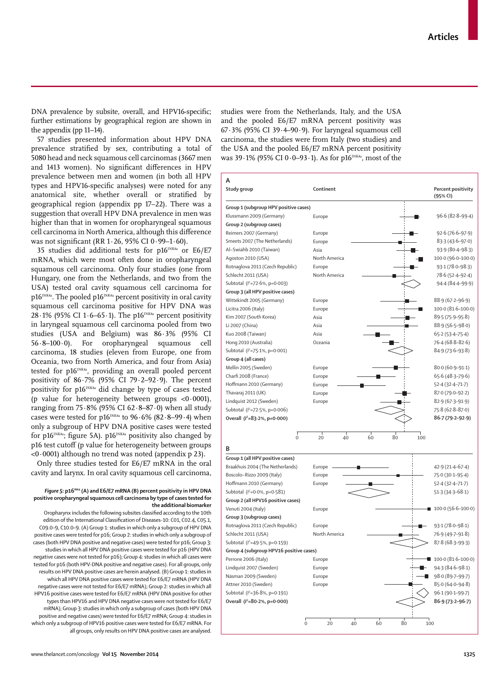www.thelancet.com/oncology **Vol 15 November 2014 1325**

DNA prevalence by subsite, overall, and HPV16-specific; further estimations by geographical region are shown in the appendix (pp 11–14).

57 studies presented information about HPV DNA prevalence stratified by sex, contributing a total of 5080 head and neck squamous cell carcinomas (3667 men and 1413 women). No significant differences in HPV prevalence between men and women (in both all HPV types and HPV16-specific analyses) were noted for any anatomical site, whether overall or stratified by geographical region (appendix pp 17–22). There was a suggestion that overall HPV DNA prevalence in men was higher than that in women for oropharyngeal squamous cell carcinoma in North America, although this difference was not significant (RR  $1.26$ , 95% CI  $0.99-1.60$ ).

35 studies did additional tests for p16<sup>INK4a</sup> or E6/E7 mRNA, which were most often done in oropharyngeal squamous cell carcinoma. Only four studies (one from Hungary, one from the Netherlands, and two from the USA) tested oral cavity squamous cell carcinoma for p16<sup>INK4a</sup>. The pooled p16<sup>INK4a</sup> percent positivity in oral cavity squamous cell carcinoma positive for HPV DNA was 28.1% (95% CI 1.6–65.1). The p16<sup>INK4a</sup> percent positivity in laryngeal squamous cell carcinoma pooled from two studies (USA and Belgium) was 86·3% (95% CI 56·8–100·0). For oropharyngeal squamous cell carcinoma, 18 studies (eleven from Europe, one from Oceania, two from North America, and four from Asia) tested for p16<sup>INK4a</sup>, providing an overall pooled percent positivity of 86·7% (95% CI 79·2–92·9). The percent positivity for p16<sup>INK4a</sup> did change by type of cases tested (p value for heterogeneity between groups <0·0001), ranging from 75 $\cdot$ 8% (95% CI 62 $\cdot$ 8-87 $\cdot$ 0) when all study cases were tested for  $p16^{INK4a}$  to  $96.6\%$  (82.8–99.4) when only a subgroup of HPV DNA positive cases were tested for p16<sup>INK4a</sup>; figure 5A). p16<sup>INK4a</sup> positivity also changed by p16 test cutoff (p value for heterogeneity between groups  $<0.0001$ ) although no trend was noted (appendix p 23).

Only three studies tested for E6/E7 mRNA in the oral cavity and larynx. In oral cavity squamous cell carcinoma,

#### Figure 5: p16<sup>INK4</sup> (A) and E6/E7 mRNA (B) percent positivity in HPV DNA **positive oropharyngeal squamous cell carcinoma by type of cases tested for the additional biomarker**

Oropharynx includes the following subsites classified according to the 10th edition of the International Classification of Diseases-10: C01, C02.4, C05.1, C09.0–9, C10.0–9. (A) Group 1: studies in which only a subgroup of HPV DNA positive cases were tested for p16; Group 2: studies in which only a subgroup of cases (both HPV DNA positive and negative cases) were tested for p16; Group 3: studies in which all HPV DNA positive cases were tested for p16 (HPV DNA negative cases were not tested for p16); Group 4: studies in which all cases were tested for p16 (both HPV-DNA positive and negative cases). For all groups, only results on HPV DNA positive cases are herein analysed. (B) Group 1: studies in which all HPV DNA positive cases were tested for E6/E7 mRNA (HPV DNA negative cases were not tested for E6/E7 mRNA); Group 2: studies in which all HPV16 positive cases were tested for E6/E7 mRNA (HPV DNA positive for other types than HPV16 and HPV DNA negative cases were not tested for E6/E7 mRNA); Group 3: studies in which only a subgroup of cases (both HPV DNA positive and negative cases) were tested for E6/E7 mRNA; Group 4: studies in which only a subgroup of HPV16 positive cases were tested for E6/E7 mRNA. For all groups, only results on HPV DNA positive cases are analysed. studies were from the Netherlands, Italy, and the USA and the pooled E6/E7 mRNA percent positivity was 67·3% (95% CI 39·4–90·9). For laryngeal squamous cell carcinoma, the studies were from Italy (two studies) and the USA and the pooled E6/E7 mRNA percent positivity was  $39.1\%$  (95% CI 0.0–93.1). As for p16<sup>INK4a</sup>, most of the

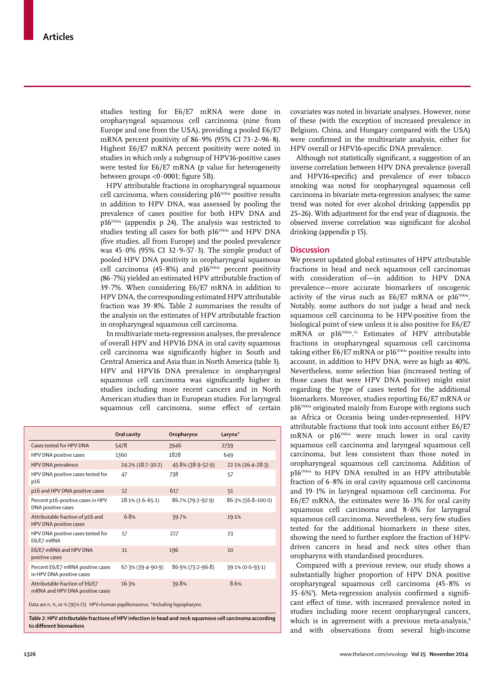studies testing for E6/E7 mRNA were done in oropharyngeal squamous cell carcinoma (nine from Europe and one from the USA), providing a pooled E6/E7 mRNA percent positivity of  $86.9\%$  (95% CI  $73.2-96.8$ ). Highest E6/E7 mRNA percent positivity were noted in studies in which only a subgroup of HPV16-positive cases were tested for E6/E7 mRNA (p value for heterogeneity between groups < $0.0001$ ; figure 5B).

HPV attributable fractions in oropharyngeal squamous cell carcinoma, when considering  $p16^{INK4a}$  positive results in addition to HPV DNA, was assessed by pooling the prevalence of cases positive for both HPV DNA and p16INK4a (appendix p 24). The analysis was restricted to studies testing all cases for both p16<sup>INK4a</sup> and HPV DNA (five studies, all from Europe) and the pooled prevalence was 45·0% (95% CI 32·9–57·3). The simple product of pooled HPV DNA positivity in oropharyngeal squamous cell carcinoma (45 $\cdot$ 8%) and p16<sup>INK4a</sup> percent positivity (86·7%) yielded an estimated HPV attributable fraction of 39·7%. When considering E6/E7 mRNA in addition to HPV DNA, the corresponding estimated HPV attributable fraction was 39·8%. Table 2 summarises the results of the analysis on the estimates of HPV attributable fraction in oropharyngeal squamous cell carcinoma.

In multivariate meta-regression analyses, the prevalence of overall HPV and HPV16 DNA in oral cavity squamous cell carcinoma was significantly higher in South and Central America and Asia than in North America (table 3). HPV and HPV16 DNA prevalence in oropharyngeal squamous cell carcinoma was significantly higher in studies including more recent cancers and in North American studies than in European studies. For laryngeal squamous cell carcinoma, some effect of certain

|                                                                                 | Oral cavity         | Oropharynx        | Larynx <sup>*</sup>    |  |  |  |  |
|---------------------------------------------------------------------------------|---------------------|-------------------|------------------------|--|--|--|--|
| Cases tested for HPV DNA                                                        | 5478                | 3946              | 2739                   |  |  |  |  |
| HPV DNA positive cases                                                          | 1360                | 1828              | 649                    |  |  |  |  |
| HPV DNA prevalence                                                              | 24.2% (18.7-30.2)   | 45.8% (38.9-52.9) | $22.1\% (16.4 - 28.3)$ |  |  |  |  |
| HPV DNA positive cases tested for<br>p16                                        | 47                  | 738               | 57                     |  |  |  |  |
| p16 and HPV DNA positive cases                                                  | 12                  | 617               | 51                     |  |  |  |  |
| Percent p16-positive cases in HPV<br>DNA positive cases                         | $28.1\% (1.6-65.1)$ | 86.7% (79.2-92.9) | 86.3% (56.8-100.0)     |  |  |  |  |
| Attributable fraction of p16 and<br>HPV DNA positive cases                      | 6.8%                | 39.7%             | 19.1%                  |  |  |  |  |
| HPV DNA positive cases tested for<br>E6/E7 mRNA                                 | 17                  | 227               | 23                     |  |  |  |  |
| E6/E7 mRNA and HPV DNA<br>positive cases                                        | 11                  | 196               | 10                     |  |  |  |  |
| Percent E6/E7 mRNA positive cases<br>in HPV DNA positive cases                  | 67.3% (39.4–90.9)   | 86.9% (73.2-96.8) | 39.1% (0.0-93.1)       |  |  |  |  |
| Attributable fraction of E6/E7<br>mRNA and HPV DNA positive cases               | 16.3%               | 39.8%             | 8.6%                   |  |  |  |  |
| Data are n, %, or % (95% CI). HPV=human papillomavirus. *Including hypopharynx. |                     |                   |                        |  |  |  |  |

*Table 2:* **HPV attributable fractions of HPV infection in head and neck squamous cell carcinoma according**  to different biomarkers

covariates was noted in bivariate analyses. However, none of these (with the exception of increased prevalence in Belgium, China, and Hungary compared with the USA) were confirmed in the multivariate analysis, either for HPV overall or HPV16-specific DNA prevalence.

Although not statistically significant, a suggestion of an inverse correlation between HPV DNA prevalence (overall and HPV16-specific) and prevalence of ever tobacco smoking was noted for oropharyngeal squamous cell carcinoma in bivariate meta-regression analyses; the same trend was noted for ever alcohol drinking (appendix pp 25–26). With adjustment for the end year of diagnosis, the observed inverse correlation was significant for alcohol drinking (appendix p 15).

# **Discussion**

We present updated global estimates of HPV attributable fractions in head and neck squamous cell carcinomas with consideration of—in addition to HPV DNA prevalence—more accurate biomarkers of oncogenic activity of the virus such as  $E6/E7$  mRNA or  $p16^{INK4a}$ . Notably, some authors do not judge a head and neck squamous cell carcinoma to be HPV-positive from the biological point of view unless it is also positive for E6/E7 mRNA or  $p16^{INKA}$ <sup>23</sup> Estimates of HPV attributable fractions in oropharyngeal squamous cell carcinoma taking either E6/E7 mRNA or  $p16^{INK4a}$  positive results into account, in addition to HPV DNA, were as high as 40%. Nevertheless, some selection bias (increased testing of those cases that were HPV DNA positive) might exist regarding the type of cases tested for the additional biomarkers. Moreover, studies reporting E6/E7 mRNA or p16<sup>INK4a</sup> originated mainly from Europe with regions such as Africa or Oceania being under-represented. HPV attributable fractions that took into account either E6/E7 mRNA or p16<sup>INK4a</sup> were much lower in oral cavity squamous cell carcinoma and laryngeal squamous cell carcinoma, but less consistent than those noted in oropharyngeal squamous cell carcinoma. Addition of p16<sup>INK4a</sup> to HPV DNA resulted in an HPV attributable fraction of 6·8% in oral cavity squamous cell carcinoma and 19·1% in laryngeal squamous cell carcinoma. For E6/E7 mRNA, the estimates were  $16.3\%$  for oral cavity squamous cell carcinoma and 8·6% for laryngeal squamous cell carcinoma. Nevertheless, very few studies tested for the additional biomarkers in these sites, showing the need to further explore the fraction of HPVdriven cancers in head and neck sites other than oropharynx with standardised procedures.

Compared with a previous review, our study shows a substantially higher proportion of HPV DNA positive oropharyngeal squamous cell carcinoma (45·8% *vs*  $35.6\%$ °). Meta-regression analysis confirmed a significant effect of time, with increased prevalence noted in studies including more recent oropharyngeal cancers, which is in agreement with a previous meta-analysis, $s$ and with observations from several high-income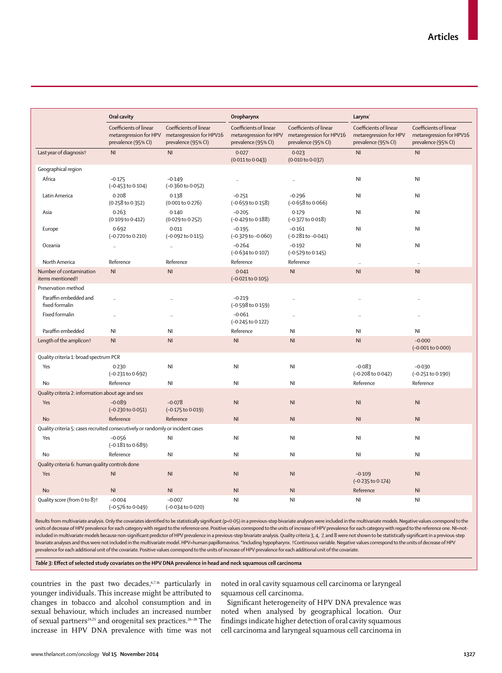|                                                                                 | Oral cavity                                                             |                                                                           | Oropharynx                                                              |                                                                           | Larynx <sup>*</sup>                                                     |                                                                           |  |  |
|---------------------------------------------------------------------------------|-------------------------------------------------------------------------|---------------------------------------------------------------------------|-------------------------------------------------------------------------|---------------------------------------------------------------------------|-------------------------------------------------------------------------|---------------------------------------------------------------------------|--|--|
|                                                                                 | Coefficients of linear<br>metaregression for HPV<br>prevalence (95% CI) | Coefficients of linear<br>metaregression for HPV16<br>prevalence (95% CI) | Coefficients of linear<br>metaregression for HPV<br>prevalence (95% CI) | Coefficients of linear<br>metaregression for HPV16<br>prevalence (95% CI) | Coefficients of linear<br>metaregression for HPV<br>prevalence (95% CI) | Coefficients of linear<br>metaregression for HPV16<br>prevalence (95% CI) |  |  |
| Last year of diagnosis <sup>+</sup>                                             | N <sub>l</sub>                                                          | N <sub>l</sub>                                                            | 0.027<br>(0.011 to 0.043)                                               | 0.023<br>$(0.010 \text{ to } 0.037)$                                      | N <sub>l</sub>                                                          | N <sub>l</sub>                                                            |  |  |
| Geographical region                                                             |                                                                         |                                                                           |                                                                         |                                                                           |                                                                         |                                                                           |  |  |
| Africa                                                                          | $-0.175$<br>(-0.453 to 0.104)                                           | $-0.149$<br>$(-0.360 \text{ to } 0.052)$                                  |                                                                         |                                                                           | N <sub>l</sub>                                                          | N <sub>l</sub>                                                            |  |  |
| Latin America                                                                   | 0.208<br>(0.258 to 0.352)                                               | 0.138<br>(0.001 to 0.276)                                                 | $-0.251$<br>$(-0.659$ to $0.158)$                                       | $-0.296$<br>$(-0.658 \text{ to } 0.066)$                                  | <b>NI</b>                                                               | N <sub>1</sub>                                                            |  |  |
| Asia                                                                            | 0.263<br>(0.109 to 0.412)                                               | 0.140<br>(0.029 to 0.252)                                                 | $-0.205$<br>(-0.429 to 0.188)                                           | 0.179<br>$(-0.377 \text{ to } 0.018)$                                     | N <sub>l</sub>                                                          | N <sub>1</sub>                                                            |  |  |
| Europe                                                                          | 0.692<br>$(-0.720 \text{ to } 0.210)$                                   | 0.011<br>(-0.092 to 0.115)                                                | $-0.195$<br>$(-0.329$ to $-0.060)$                                      | $-0.161$<br>$(-0.281$ to $-0.041)$                                        | NI                                                                      | N <sub>l</sub>                                                            |  |  |
| Oceania                                                                         | $\cdot$                                                                 | $\ddot{\phantom{a}}$                                                      | $-0.264$<br>$(-0.634 \text{ to } 0.107)$                                | $-0.192$<br>$(-0.529 \text{ to } 0.145)$                                  | N <sub>l</sub>                                                          | N <sub>l</sub>                                                            |  |  |
| North America                                                                   | Reference                                                               | Reference                                                                 | Reference                                                               | Reference                                                                 | $\ddot{\phantom{a}}$                                                    | $\ddot{\phantom{a}}$                                                      |  |  |
| Number of contamination<br>items mentioned <sup>+</sup>                         | N <sub>l</sub>                                                          | N <sub>l</sub>                                                            | 0.041<br>$(-0.021 \text{ to } 0.105)$                                   | N <sub>l</sub>                                                            | N <sub>l</sub>                                                          | N <sub>l</sub>                                                            |  |  |
| Preservation method                                                             |                                                                         |                                                                           |                                                                         |                                                                           |                                                                         |                                                                           |  |  |
| Paraffin embedded and<br>fixed formalin                                         |                                                                         |                                                                           | $-0.219$<br>(-0.598 to 0.159)                                           | $\ddot{\phantom{a}}$                                                      |                                                                         |                                                                           |  |  |
| Fixed formalin                                                                  |                                                                         | ă,                                                                        | $-0.061$<br>(-0.245 to 0.122)                                           | $\ddot{\phantom{a}}$                                                      |                                                                         | $\ddot{\phantom{0}}$                                                      |  |  |
| Paraffin embedded                                                               | <b>NI</b>                                                               | N <sub>l</sub>                                                            | Reference                                                               | $\mathsf{N}\mathsf{I}$                                                    | NI                                                                      | $\mathsf{N}\mathsf{I}$                                                    |  |  |
| Length of the amplicont                                                         | N <sub>l</sub>                                                          | N <sub>l</sub>                                                            | N <sub>l</sub>                                                          | $\mathsf{N}\mathsf{I}$                                                    | N <sub>l</sub>                                                          | $-0.000$<br>$(-0.001 to 0.000)$                                           |  |  |
| Quality criteria 1: broad spectrum PCR                                          |                                                                         |                                                                           |                                                                         |                                                                           |                                                                         |                                                                           |  |  |
| Yes                                                                             | 0.230<br>(-0.231 to 0.692)                                              | NI                                                                        | N <sub>l</sub>                                                          | N <sub>l</sub>                                                            | $-0.083$<br>$(-0.208 \text{ to } 0.042)$                                | $-0.030$<br>$(-0.251$ to $0.190)$                                         |  |  |
| No                                                                              | Reference                                                               | NI                                                                        | N <sub>l</sub>                                                          | N <sub>l</sub>                                                            | Reference                                                               | Reference                                                                 |  |  |
| Quality criteria 2: information about age and sex                               |                                                                         |                                                                           |                                                                         |                                                                           |                                                                         |                                                                           |  |  |
| Yes                                                                             | $-0.089$<br>$(-0.230 \text{ to } 0.051)$                                | $-0.078$<br>(-0.175 to 0.019)                                             | N <sub>l</sub>                                                          | N <sub>l</sub>                                                            | N <sub>l</sub>                                                          | N <sub>l</sub>                                                            |  |  |
| <b>No</b>                                                                       | Reference                                                               | Reference                                                                 | N <sub>l</sub>                                                          | N <sub>l</sub>                                                            | N <sub>l</sub>                                                          | N <sub>l</sub>                                                            |  |  |
| Quality criteria 5: cases recruited consecutively or randomly or incident cases |                                                                         |                                                                           |                                                                         |                                                                           |                                                                         |                                                                           |  |  |
| Yes                                                                             | $-0.056$<br>$(-0.181$ to $0.689)$                                       | NI                                                                        | N <sub>l</sub>                                                          | N <sub>l</sub>                                                            | NI                                                                      | N <sub>l</sub>                                                            |  |  |
| No                                                                              | Reference                                                               | N <sub>l</sub>                                                            | N <sub>l</sub>                                                          | N <sub>l</sub>                                                            | NI                                                                      | N <sub>l</sub>                                                            |  |  |
| Quality criteria 6: human quality controls done                                 |                                                                         |                                                                           |                                                                         |                                                                           |                                                                         |                                                                           |  |  |
| Yes                                                                             | N <sub>l</sub>                                                          | N <sub>l</sub>                                                            | N <sub>l</sub>                                                          | N <sub>l</sub>                                                            | $-0.109$<br>$(-0.235 \text{ to } 0.174)$                                | N <sub>1</sub>                                                            |  |  |
| <b>No</b>                                                                       | N <sub>l</sub>                                                          | N <sub>l</sub>                                                            | N <sub>l</sub>                                                          | N <sub>l</sub>                                                            | Reference                                                               | N <sub>l</sub>                                                            |  |  |
| Quality score (from 0 to 8) <sup>†</sup>                                        | $-0.004$<br>$(-0.576 \text{ to } 0.049)$                                | $-0.007$<br>(-0.034 to 0.020)                                             | N <sub>l</sub>                                                          | N <sub>l</sub>                                                            | N <sub>l</sub>                                                          | N <sub>l</sub>                                                            |  |  |

Results from multivariate analysis. Only the covariates identified to be statistically significant (p<0·05) in a previous-step bivariate analyses were included in the multivariate models. Negative values correspond to the units of decrease of HPV prevalence for each category with regard to the reference one. Positive values correspond to the units of increase of HPV prevalence for each category with regard to the reference one. NI=notincluded in multivariate models because non-significant predictor of HPV prevalence in a previous-step bivariate analysis. Quality criteria 3, 4, 7, and 8 were not shown to be statistically significant in a previous-step bivariate analyses and thus were not included in the multivariate model. HPV=human papillomavirus. \*Including hypopharynx. †Continuous variable. Negative values correspond to the units of decrease of HPV prevalence for each additional unit of the covariate. Positive values correspond to the units of increase of HPV prevalence for each additional unit of the covariate.

*Table 3*: Effect of selected study covariates on the HPV DNA prevalence in head and neck squamous cell carcinoma

countries in the past two decades,6,7,16 particularly in younger individuals. This increase might be attributed to changes in tobacco and alcohol consumption and in sexual behaviour, which includes an increased number of sexual partners<sup>24,25</sup> and orogenital sex practices.<sup>26–28</sup> The increase in HPV DNA prevalence with time was not noted in oral cavity squamous cell carcinoma or laryngeal squamous cell carcinoma.

Significant heterogeneity of HPV DNA prevalence was noted when analysed by geographical location. Our findings indicate higher detection of oral cavity squamous cell carcinoma and laryngeal squamous cell carcinoma in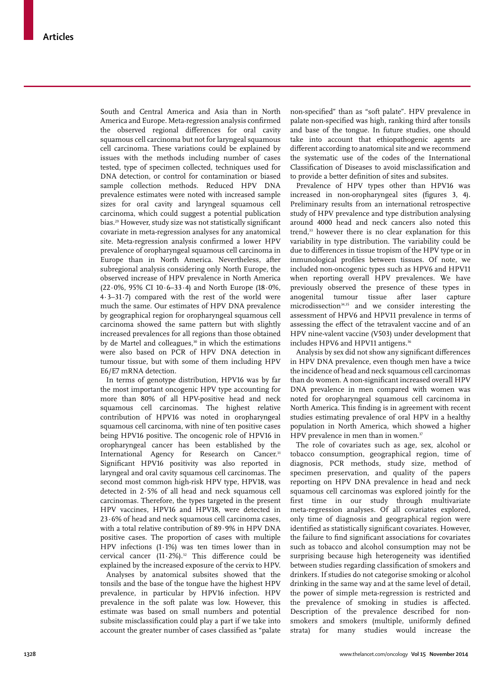South and Central America and Asia than in North America and Europe. Meta-regression analysis confirmed the observed regional differences for oral cavity squamous cell carcinoma but not for laryngeal squamous cell carcinoma. These variations could be explained by issues with the methods including number of cases tested, type of specimen collected, techniques used for DNA detection, or control for contamination or biased sample collection methods. Reduced HPV DNA prevalence estimates were noted with increased sample sizes for oral cavity and laryngeal squamous cell carcinoma, which could suggest a potential publication bias.<sup>29</sup> However, study size was not statistically significant covariate in meta-regression analyses for any anatomical site. Meta-regression analysis confirmed a lower HPV prevalence of oropharyngeal squamous cell carcinoma in Europe than in North America. Nevertheless, after subregional analysis considering only North Europe, the observed increase of HPV prevalence in North America (22·0%, 95% CI 10·6–33·4) and North Europe (18·0%, 4·3–31·7) compared with the rest of the world were much the same. Our estimates of HPV DNA prevalence by geographical region for oropharyngeal squamous cell carcinoma showed the same pattern but with slightly increased prevalences for all regions than those obtained by de Martel and colleagues, $30$  in which the estimations were also based on PCR of HPV DNA detection in tumour tissue, but with some of them including HPV E6/E7 mRNA detection.

In terms of genotype distribution, HPV16 was by far the most important oncogenic HPV type accounting for more than 80% of all HPV-positive head and neck squamous cell carcinomas. The highest relative contribution of HPV16 was noted in oropharyngeal squamous cell carcinoma, with nine of ten positive cases being HPV16 positive. The oncogenic role of HPV16 in oropharyngeal cancer has been established by the International Agency for Research on Cancer.<sup>31</sup> Significant HPV16 positivity was also reported in laryngeal and oral cavity squamous cell carcinomas. The second most common high-risk HPV type, HPV18, was detected in 2·5% of all head and neck squamous cell carcinomas. Therefore, the types targeted in the present HPV vaccines, HPV16 and HPV18, were detected in 23·6% of head and neck squamous cell carcinoma cases, with a total relative contribution of 89·9% in HPV DNA positive cases. The proportion of cases with multiple HPV infections (1·1%) was ten times lower than in cervical cancer  $(11.2\%)$ .<sup>32</sup> This difference could be explained by the increased exposure of the cervix to HPV.

Analyses by anatomical subsites showed that the tonsils and the base of the tongue have the highest HPV prevalence, in particular by HPV16 infection. HPV prevalence in the soft palate was low. However, this estimate was based on small numbers and potential subsite misclassification could play a part if we take into account the greater number of cases classified as "palate non-specified" than as "soft palate". HPV prevalence in palate non-specified was high, ranking third after tonsils and base of the tongue. In future studies, one should take into account that ethiopathogenic agents are different according to anatomical site and we recommend the systematic use of the codes of the International Classification of Diseases to avoid misclassification and to provide a better definition of sites and subsites.

Prevalence of HPV types other than HPV16 was increased in non-oropharyngeal sites (figures 3, 4). Preliminary results from an international retrospective study of HPV prevalence and type distribution analysing around 4000 head and neck cancers also noted this trend,<sup>33</sup> however there is no clear explanation for this variability in type distribution. The variability could be due to differences in tissue tropism of the HPV type or in inmunological profiles between tissues. Of note, we included non-oncogenic types such as HPV6 and HPV11 when reporting overall HPV prevalences. We have previously observed the presence of these types in anogenital tumour tissue after laser capture microdissection<sup>34,35</sup> and we consider interesting the assessment of HPV6 and HPV11 prevalence in terms of assessing the effect of the tetravalent vaccine and of an HPV nine-valent vaccine (V503) under development that includes HPV6 and HPV11 antigens.<sup>36</sup>

Analysis by sex did not show any significant differences in HPV DNA prevalence, even though men have a twice the incidence of head and neck squamous cell carcinomas than do women. A non-significant increased overall HPV DNA prevalence in men compared with women was noted for oropharyngeal squamous cell carcinoma in North America. This finding is in agreement with recent studies estimating prevalence of oral HPV in a healthy population in North America, which showed a higher HPV prevalence in men than in women.<sup>37</sup>

The role of covariates such as age, sex, alcohol or tobacco consumption, geographical region, time of diagnosis, PCR methods, study size, method of specimen preservation, and quality of the papers reporting on HPV DNA prevalence in head and neck squamous cell carcinomas was explored jointly for the first time in our study through multivariate meta-regression analyses. Of all covariates explored, only time of diagnosis and geographical region were identified as statistically significant covariates. However, the failure to find significant associations for covariates such as tobacco and alcohol consumption may not be surprising because high heterogeneity was identified between studies regarding classification of smokers and drinkers. If studies do not categorise smoking or alcohol drinking in the same way and at the same level of detail, the power of simple meta-regression is restricted and the prevalence of smoking in studies is affected. Description of the prevalence described for nonsmokers and smokers (multiple, uniformly defined strata) for many studies would increase the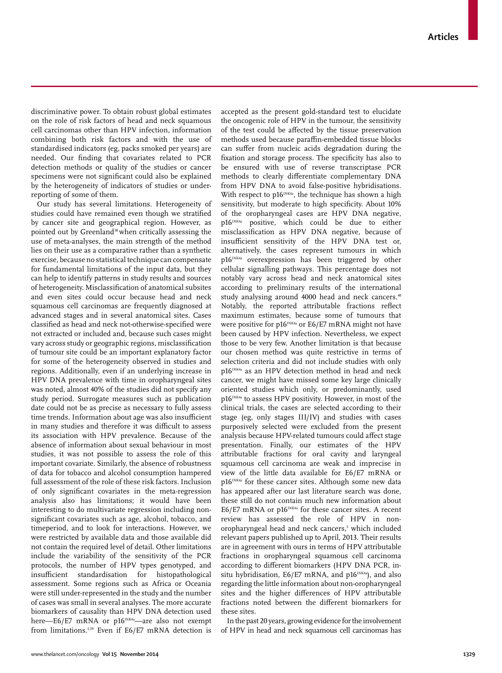discriminative power. To obtain robust global estimates on the role of risk factors of head and neck squamous cell carcinomas other than HPV infection, information combining both risk factors and with the use of standardised indicators (eg, packs smoked per years) are needed. Our finding that covariates related to PCR detection methods or quality of the studies or cancer specimens were not significant could also be explained by the heterogeneity of indicators of studies or underreporting of some of them.

Our study has several limitations. Heterogeneity of studies could have remained even though we stratified by cancer site and geographical region. However, as pointed out by Greenland<sup>38</sup> when critically assessing the use of meta-analyses, the main strength of the method lies on their use as a comparative rather than a synthetic exercise, because no statistical technique can compensate for fundamental limitations of the input data, but they can help to identify patterns in study results and sources of heterogeneity. Misclassification of anatomical subsites and even sites could occur because head and neck squamous cell carcinomas are frequently diagnosed at advanced stages and in several anatomical sites. Cases classified as head and neck not-otherwise-specified were not extracted or included and, because such cases might vary across study or geographic regions, misclassification of tumour site could be an important explanatory factor for some of the heterogeneity observed in studies and regions. Additionally, even if an underlying increase in HPV DNA prevalence with time in oropharyngeal sites was noted, almost 40% of the studies did not specify any study period. Surrogate measures such as publication date could not be as precise as necessary to fully assess time trends. Information about age was also insufficient in many studies and therefore it was difficult to assess its association with HPV prevalence. Because of the absence of information about sexual behaviour in most studies, it was not possible to assess the role of this important covariate. Similarly, the absence of robustness of data for tobacco and alcohol consumption hampered full assessment of the role of these risk factors. Inclusion of only significant covariates in the meta-regression analysis also has limitations; it would have been interesting to do multivariate regression including nonsignificant covariates such as age, alcohol, tobacco, and timeperiod, and to look for interactions. However, we were restricted by available data and those available did not contain the required level of detail. Other limitations include the variability of the sensitivity of the PCR protocols, the number of HPV types genotyped, and insufficient standardisation for histopathological assessment. Some regions such as Africa or Oceania were still under-represented in the study and the number of cases was small in several analyses. The more accurate biomarkers of causality than HPV DNA detection used here-E6/E7 mRNA or p16<sup>INK4a</sup> are also not exempt from limitations.1,39 Even if E6/E7 mRNA detection is accepted as the present gold-standard test to elucidate the oncogenic role of HPV in the tumour, the sensitivity of the test could be affected by the tissue preservation methods used because paraffin-embedded tissue blocks can suffer from nucleic acids degradation during the fixation and storage process. The specificity has also to be ensured with use of reverse transcriptase PCR methods to clearly differentiate complementary DNA from HPV DNA to avoid false-positive hybridisations. With respect to  $p16^{INK4a}$ , the technique has shown a high sensitivity, but moderate to high specificity. About 10% of the oropharyngeal cases are HPV DNA negative, p16INK4a positive, which could be due to either misclassification as HPV DNA negative, because of insufficient sensitivity of the HPV DNA test or, alternatively, the cases represent tumours in which p16INK4a overexpression has been triggered by other cellular signalling pathways. This percentage does not notably vary across head and neck anatomical sites according to preliminary results of the international study analysing around 4000 head and neck cancers.<sup>40</sup> Notably, the reported attributable fractions reflect maximum estimates, because some of tumours that were positive for  $p16^{INK4a}$  or  $E6/E7$  mRNA might not have been caused by HPV infection. Nevertheless, we expect those to be very few. Another limitation is that because our chosen method was quite restrictive in terms of selection criteria and did not include studies with only p16INK4a as an HPV detection method in head and neck cancer, we might have missed some key large clinically oriented studies which only, or predominantly, used p16<sup>INK4a</sup> to assess HPV positivity. However, in most of the clinical trials, the cases are selected according to their stage (eg, only stages III/IV) and studies with cases purposively selected were excluded from the present analysis because HPV-related tumours could affect stage presentation. Finally, our estimates of the HPV attributable fractions for oral cavity and laryngeal squamous cell carcinoma are weak and imprecise in view of the little data available for E6/E7 mRNA or p16<sup>INK4a</sup> for these cancer sites. Although some new data has appeared after our last literature search was done, these still do not contain much new information about  $E6/E7$  mRNA or p16<sup>INK4a</sup> for these cancer sites. A recent review has assessed the role of HPV in nonoropharyngeal head and neck cancers,<sup>5</sup> which included relevant papers published up to April, 2013. Their results are in agreement with ours in terms of HPV attributable fractions in oropharyngeal squamous cell carcinoma according to different biomarkers (HPV DNA PCR, insitu hybridisation, E6/E7 mRNA, and  $p16^{INKA}$ , and also regarding the little information about non-oropharyngeal sites and the higher differences of HPV attributable fractions noted between the different biomarkers for these sites.

In the past 20 years, growing evidence for the involvement of HPV in head and neck squamous cell carcinomas has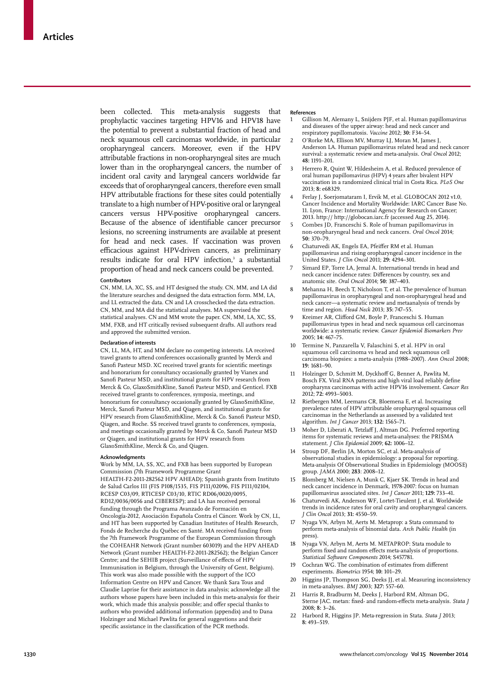been collected. This meta-analysis suggests that prophylactic vaccines targeting HPV16 and HPV18 have the potential to prevent a substantial fraction of head and neck squamous cell carcinomas worldwide, in particular oropharyngeal cancers. Moreover, even if the HPV attributable fractions in non-oropharyngeal sites are much lower than in the oropharyngeal cancers, the number of incident oral cavity and laryngeal cancers worldwide far exceeds that of oropharyngeal cancers, therefore even small HPV attributable fractions for these sites could potentially translate to a high number of HPV-positive oral or laryngeal cancers versus HPV-positive oropharyngeal cancers. Because of the absence of identifiable cancer precursor lesions, no screening instruments are available at present for head and neck cases. If vaccination was proven efficacious against HPV-driven cancers, as preliminary results indicate for oral HPV infection,<sup>3</sup> a substantial proportion of head and neck cancers could be prevented.

#### **Contributors**

CN, MM, LA, XC, SS, and HT designed the study. CN, MM, and LA did the literature searches and designed the data extraction form. MM, LA, and LL extracted the data. CN and LA crosschecked the data extraction. CN, MM, and MA did the statistical analyses. MA supervised the statistical analyses. CN and MM wrote the paper. CN, MM, LA, XC, SS, MM, FXB, and HT critically revised subsequent drafts. All authors read and approved the submitted version.

#### **Declaration of interests**

CN, LL, MA, HT, and MM declare no competing interests. LA received travel grants to attend conferences occasionally granted by Merck and Sanofi Pasteur MSD. XC received travel grants for scientific meetings and honorarium for consultancy occasionally granted by Vianex and Sanofi Pasteur MSD, and institutional grants for HPV research from Merck & Co, GlaxoSmithKline, Sanofi Pasteur MSD, and Genticel. FXB received travel grants to conferences, symposia, meetings, and honorarium for consultancy occasionally granted by GlaxoSmithKline, Merck, Sanofi Pasteur MSD, and Qiagen, and institutional grants for HPV research from GlaxoSmithKline, Merck & Co. Sanofi Pasteur MSD, Qiagen, and Roche. SS received travel grants to conferences, symposia, and meetings occasionally granted by Merck & Co, Sanofi Pasteur MSD or Qiagen, and institutional grants for HPV research from GlaxoSmithKline, Merck & Co, and Qiagen.

#### **Acknowledgments**

Work by MM, LA, SS, XC, and FXB has been supported by European Commission (7th Framework Programme Grant HEALTH-F2-2011-282562 HPV AHEAD); Spanish grants from Instituto de Salud Carlos III (FIS PI08/1535, FIS PI11/02096, FIS PI11/02104, RCESP C03/09, RTICESP C03/10, RTIC RD06/0020/0095, RD12/0036/0056 and CIBERESP); and LA has received personal funding through the Programa Avanzado de Formación en Oncología-2012, Asociación Española Contra el Cáncer. Work by CN, LL, and HT has been supported by Canadian Institutes of Health Research, Fonds de Recherche du Québec en Santé. MA received funding from the 7th Framework Programme of the European Commission through the COHEAHR Network (Grant number 603019) and the HPV AHEAD Network (Grant number HEALTH-F2-2011-282562); the Belgian Cancer Centre; and the SEHIB project (Surveillance of effects of HPV Immunisation in Belgium, through the University of Gent, Belgium). This work was also made possible with the support of the ICO Information Centre on HPV and Cancer. We thank Sara Tous and Claudie Laprise for their assistance in data analysis; acknowledge all the authors whose papers have been included in this meta-analysis for their work, which made this analysis possible; and offer special thanks to authors who provided additional information (appendix) and to Dana Holzinger and Michael Pawlita for general suggestions and their specific assistance in the classification of the PCR methods.

# **References**

- 1 Gillison M, Alemany L, Snijders PJF, et al. Human papillomavirus and diseases of the upper airway: head and neck cancer and respiratory papillomatosis. *Vaccine* 2012; **30:** F34–54.
- 2 O'Rorke MA, Ellison MV, Murray LJ, Moran M, James J, Anderson LA. Human papillomavirus related head and neck cancer survival: a systematic review and meta-analysis. *Oral Oncol* 2012; **48:** 1191–201.
- 3 Herrero R, Quint W, Hildesheim A, et al. Reduced prevalence of oral human papillomavirus (HPV) 4 years after bivalent HPV vaccination in a randomized clinical trial in Costa Rica. *PLoS One* 2013; **8:** e68329.
- 4 Ferlay J, Soerjomataram I, Ervik M, et al. GLOBOCAN 2012 v1.0, Cancer Incidence and Mortality Worldwide: IARC Cancer Base No. 11. Lyon, France: International Agency for Research on Cancer; 2013. http:// http://globocan.iarc.fr (accessed Aug 25, 2014).
- 5 Combes JD, Franceschi S. Role of human papillomavirus in non-oropharyngeal head and neck cancers. *Oral Oncol* 2014; **50:** 370–79.
- 6 Chaturvedi AK, Engels EA, Pfeiffer RM et al. Human papillomavirus and rising oropharyngeal cancer incidence in the United States. *J Clin Oncol* 2011; **29:** 4294–301.
- Simard EP, Torre LA, Jemal A. International trends in head and neck cancer incidence rates: Differences by country, sex and anatomic site. *Oral Oncol* 2014; **50:** 387–403.
- 8 Mehanna H, Beech T, Nicholson T, et al. The prevalence of human papillomavirus in oropharyngeal and non-oropharyngeal head and neck cancer—a systematic review and metaanalysis of trends by time and region. *Head Neck* 2013; **35:** 747–55.
- Kreimer AR, Clifford GM, Boyle P, Franceschi S. Human papillomavirus types in head and neck squamous cell carcinomas worldwide: a systematic review. *Cancer Epidemiol Biomarkers Prev* 2005; **14:** 467–75.
- Termine N, Panzarella V, Falaschini S, et al. HPV in oral squamous cell carcinoma vs head and neck squamous cell carcinoma biopsies: a meta-analysis (1988–2007). *Ann Oncol* 2008; **19:** 1681–90.
- 11 Holzinger D, Schmitt M, Dyckhoff G, Benner A, Pawlita M, Bosch FX. Viral RNA patterns and high viral load reliably define oropharynx carcinomas with active HPV16 involvement. *Cancer Res* 2012; **72:** 4993–5003.
- 12 Rietbergen MM, Leemans CR, Bloemena E, et al. Increasing prevalence rates of HPV attributable oropharyngeal squamous cell carcinomas in the Netherlands as assessed by a validated test algorithm. *Int J Cancer* 2013; **132:** 1565–71.
- 13 Moher D, Liberati A, Tetzlaff J, Altman DG. Preferred reporting items for systematic reviews and meta-analyses: the PRISMA statement. *J Clin Epidemiol* 2009; **62:** 1006–12.
- 14 Stroup DF, Berlin JA, Morton SC, et al. Meta-analysis of observational studies in epidemiology: a proposal for reporting. Meta-analysis Of Observational Studies in Epidemiology (MOOSE) group. *JAMA* 2000; **283**: 2008–12.
- 15 Blomberg M, Nielsen A, Munk C, Kjaer SK. Trends in head and neck cancer incidence in Denmark, 1978-2007: focus on human papillomavirus associated sites. *Int J Cancer* 2011; **129:** 733–41.
- 16 Chaturvedi AK, Anderson WF, Lortet-Tieulent J, et al. Worldwide trends in incidence rates for oral cavity and oropharyngeal cancers. *J Clin Oncol* 2013; **31:** 4550–59.
- 17 Nyaga VN, Arbyn M, Aerts M. Metaprop: a Stata command to perform meta-analysis of binomial data. *Arch Public Health* (in press).
- 18 Nyaga VN, Arbyn M, Aerts M. METAPROP: Stata module to perform fixed and random effects meta-analysis of proportions. *Statistical Software Components* 2014; S457781.
- 19 Cochran WG. The combination of estimates from different experiments. *Biometrics* 1954; **10:** 101–29.
- 20 Higgins JP, Thompson SG, Deeks JJ, et al. Measuring inconsistency in meta-analyses. *BMJ* 2003; **327:** 557–60.
- 21 Harris R, Bradburm M, Deeks J, Harbord RM, Altman DG, Sterne JAC. metan: fixed- and random-effects meta-analysis. *Stata J* 2008; **8:** 3–26.
- 22 Harbord R, Higgins JP. Meta-regression in Stata. *Stata J* 2013; **8:** 493–519.